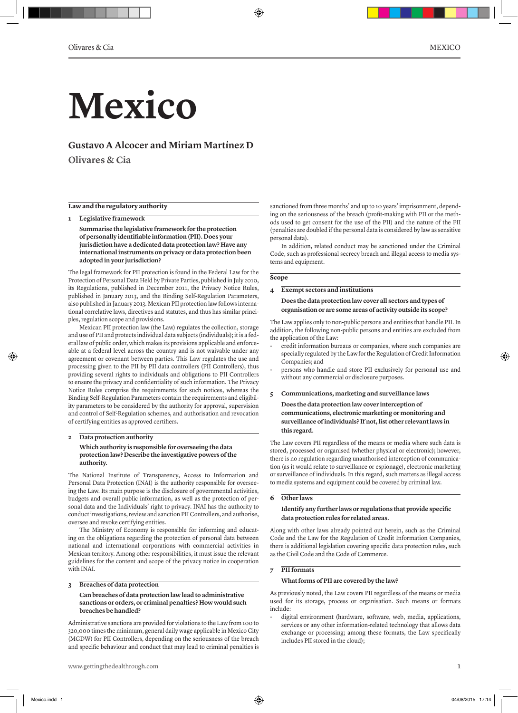# **Mexico**

# **Gustavo A Alcocer and Miriam Martínez D**

**Olivares & Cia**

# **Law and the regulatory authority**

**1 Legislative framework Summarise the legislative framework for the protection of personally identifiable information (PII). Does your jurisdiction have a dedicated data protection law? Have any international instruments on privacy or data protection been adopted in your jurisdiction?** 

The legal framework for PII protection is found in the Federal Law for the Protection of Personal Data Held by Private Parties, published in July 2010, its Regulations, published in December 2011, the Privacy Notice Rules, published in January 2013, and the Binding Self-Regulation Parameters, also published in January 2013. Mexican PII protection law follows international correlative laws, directives and statutes, and thus has similar principles, regulation scope and provisions.

Mexican PII protection law (the Law) regulates the collection, storage and use of PII and protects individual data subjects (individuals); it is a federal law of public order, which makes its provisions applicable and enforceable at a federal level across the country and is not waivable under any agreement or covenant between parties. This Law regulates the use and processing given to the PII by PII data controllers (PII Controllers), thus providing several rights to individuals and obligations to PII Controllers to ensure the privacy and confidentiality of such information. The Privacy Notice Rules comprise the requirements for such notices, whereas the Binding Self-Regulation Parameters contain the requirements and eligibility parameters to be considered by the authority for approval, supervision and control of Self-Regulation schemes, and authorisation and revocation of certifying entities as approved certifiers.

# **2 Data protection authority Which authority is responsible for overseeing the data protection law? Describe the investigative powers of the authority.**

The National Institute of Transparency, Access to Information and Personal Data Protection (INAI) is the authority responsible for overseeing the Law. Its main purpose is the disclosure of governmental activities, budgets and overall public information, as well as the protection of personal data and the Individuals' right to privacy. INAI has the authority to conduct investigations, review and sanction PII Controllers, and authorise, oversee and revoke certifying entities.

The Ministry of Economy is responsible for informing and educating on the obligations regarding the protection of personal data between national and international corporations with commercial activities in Mexican territory. Among other responsibilities, it must issue the relevant guidelines for the content and scope of the privacy notice in cooperation with INAI.

#### **3 Breaches of data protection**

#### **Can breaches of data protection law lead to administrative sanctions or orders, or criminal penalties? How would such breaches be handled?**

Administrative sanctions are provided for violations to the Law from 100 to 320,000 times the minimum, general daily wage applicable in Mexico City (MGDW) for PII Controllers, depending on the seriousness of the breach and specific behaviour and conduct that may lead to criminal penalties is

sanctioned from three months' and up to 10 years' imprisonment, depending on the seriousness of the breach (profit-making with PII or the methods used to get consent for the use of the PII) and the nature of the PII (penalties are doubled if the personal data is considered by law as sensitive personal data).

In addition, related conduct may be sanctioned under the Criminal Code, such as professional secrecy breach and illegal access to media systems and equipment.

#### **Scope**

◈

# **4 Exempt sectors and institutions Does the data protection law cover all sectors and types of organisation or are some areas of activity outside its scope?**

The Law applies only to non-public persons and entities that handle PII. In addition, the following non-public persons and entities are excluded from the application of the Law:

- credit information bureaus or companies, where such companies are specially regulated by the Law for the Regulation of Credit Information Companies; and
- persons who handle and store PII exclusively for personal use and without any commercial or disclosure purposes.
- **5 Communications, marketing and surveillance laws Does the data protection law cover interception of communications, electronic marketing or monitoring and surveillance of individuals? If not, list other relevant laws in this regard.**

The Law covers PII regardless of the means or media where such data is stored, processed or organised (whether physical or electronic); however, there is no regulation regarding unauthorised interception of communication (as it would relate to surveillance or espionage), electronic marketing or surveillance of individuals. In this regard, such matters as illegal access to media systems and equipment could be covered by criminal law.

#### **6 Other laws**

#### **Identify any further laws or regulations that provide specific data protection rules for related areas.**

Along with other laws already pointed out herein, such as the Criminal Code and the Law for the Regulation of Credit Information Companies, there is additional legislation covering specific data protection rules, such as the Civil Code and the Code of Commerce.

#### **7 PII formats**

#### **What forms of PII are covered by the law?**

As previously noted, the Law covers PII regardless of the means or media used for its storage, process or organisation. Such means or formats include:

• digital environment (hardware, software, web, media, applications, services or any other information-related technology that allows data exchange or processing; among these formats, the Law specifically includes PII stored in the cloud);

◈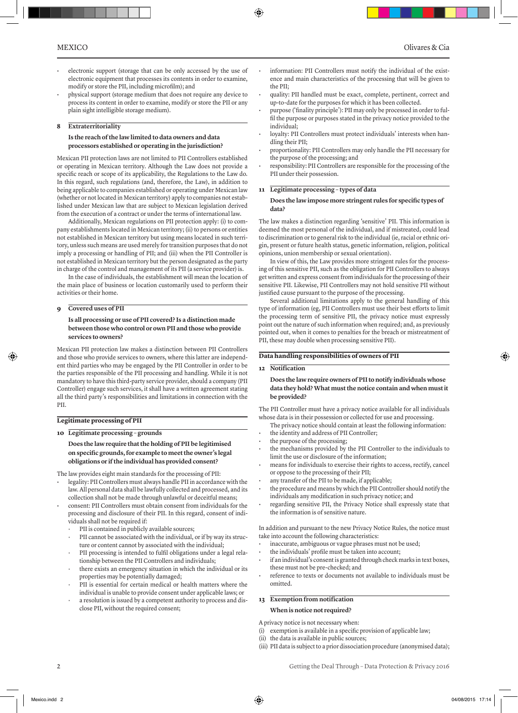- electronic support (storage that can be only accessed by the use of electronic equipment that processes its contents in order to examine, modify or store the PII, including microfilm); and
- physical support (storage medium that does not require any device to process its content in order to examine, modify or store the PII or any plain sight intelligible storage medium).

#### **8 Extraterritoriality**

# **Is the reach of the law limited to data owners and data processors established or operating in the jurisdiction?**

Mexican PII protection laws are not limited to PII Controllers established or operating in Mexican territory. Although the Law does not provide a specific reach or scope of its applicability, the Regulations to the Law do. In this regard, such regulations (and, therefore, the Law), in addition to being applicable to companies established or operating under Mexican law (whether or not located in Mexican territory) apply to companies not established under Mexican law that are subject to Mexican legislation derived from the execution of a contract or under the terms of international law.

Additionally, Mexican regulations on PII protection apply: (i) to company establishments located in Mexican territory; (ii) to persons or entities not established in Mexican territory but using means located in such territory, unless such means are used merely for transition purposes that do not imply a processing or handling of PII; and (iii) when the PII Controller is not established in Mexican territory but the person designated as the party in charge of the control and management of its PII (a service provider) is.

In the case of individuals, the establishment will mean the location of the main place of business or location customarily used to perform their activities or their home.

#### **9 Covered uses of PII**

#### **Is all processing or use of PII covered? Is a distinction made between those who control or own PII and those who provide services to owners?**

Mexican PII protection law makes a distinction between PII Controllers and those who provide services to owners, where this latter are independent third parties who may be engaged by the PII Controller in order to be the parties responsible of the PII processing and handling. While it is not mandatory to have this third-party service provider, should a company (PII Controller) engage such services, it shall have a written agreement stating all the third party's responsibilities and limitations in connection with the PII.

#### **Legitimate processing of PII**

# **10 Legitimate processing – grounds Does the law require that the holding of PII be legitimised on specific grounds, for example to meet the owner's legal obligations or if the individual has provided consent?**

- The law provides eight main standards for the processing of PII:
- legality: PII Controllers must always handle PII in accordance with the law. All personal data shall be lawfully collected and processed, and its collection shall not be made through unlawful or deceitful means;
- consent: PII Controllers must obtain consent from individuals for the processing and disclosure of their PII. In this regard, consent of individuals shall not be required if:
	- PII is contained in publicly available sources;
	- PII cannot be associated with the individual, or if by way its structure or content cannot by associated with the individual;
	- PII processing is intended to fulfil obligations under a legal relationship between the PII Controllers and individuals;
	- there exists an emergency situation in which the individual or its properties may be potentially damaged;
	- PII is essential for certain medical or health matters where the individual is unable to provide consent under applicable laws; or
	- a resolution is issued by a competent authority to process and disclose PII, without the required consent;
- information: PII Controllers must notify the individual of the existence and main characteristics of the processing that will be given to the PII;
- quality: PII handled must be exact, complete, pertinent, correct and up-to-date for the purposes for which it has been collected.
- purpose ('finality principle'): PII may only be processed in order to fulfil the purpose or purposes stated in the privacy notice provided to the individual;
- loyalty: PII Controllers must protect individuals' interests when handling their PII;
- proportionality: PII Controllers may only handle the PII necessary for the purpose of the processing; and
- responsibility: PII Controllers are responsible for the processing of the PII under their possession.

#### **11 Legitimate processing – types of data**

#### **Does the law impose more stringent rules for specific types of data?**

The law makes a distinction regarding 'sensitive' PII. This information is deemed the most personal of the individual, and if mistreated, could lead to discrimination or to general risk to the individual (ie, racial or ethnic origin, present or future health status, genetic information, religion, political opinions, union membership or sexual orientation).

In view of this, the Law provides more stringent rules for the processing of this sensitive PII, such as the obligation for PII Controllers to always get written and express consent from individuals for the processing of their sensitive PII. Likewise, PII Controllers may not hold sensitive PII without justified cause pursuant to the purpose of the processing.

Several additional limitations apply to the general handling of this type of information (eg, PII Controllers must use their best efforts to limit the processing term of sensitive PII, the privacy notice must expressly point out the nature of such information when required; and, as previously pointed out, when it comes to penalties for the breach or mistreatment of PII, these may double when processing sensitive PII).

# **Data handling responsibilities of owners of PII**

# **12 Notification**

⊕

◈

#### **Does the law require owners of PII to notify individuals whose data they hold? What must the notice contain and when must it be provided?**

The PII Controller must have a privacy notice available for all individuals whose data is in their possession or collected for use and processing.

- The privacy notice should contain at least the following information:
- the identity and address of PII Controller;
- the purpose of the processing;
- the mechanisms provided by the PII Controller to the individuals to limit the use or disclosure of the information;
- means for individuals to exercise their rights to access, rectify, cancel or oppose to the processing of their PII;
- any transfer of the PII to be made, if applicable;
- the procedure and means by which the PII Controller should notify the individuals any modification in such privacy notice; and
- regarding sensitive PII, the Privacy Notice shall expressly state that the information is of sensitive nature.

In addition and pursuant to the new Privacy Notice Rules, the notice must take into account the following characteristics:

- inaccurate, ambiguous or vague phrases must not be used;
- the individuals' profile must be taken into account;
- if an individual's consent is granted through check marks in text boxes, these must not be pre-checked; and
- reference to texts or documents not available to individuals must be omitted.

# **13 Exemption from notification When is notice not required?**

A privacy notice is not necessary when:

- (i) exemption is available in a specific provision of applicable law;
- (ii) the data is available in public sources;
- (iii) PII data is subject to a prior dissociation procedure (anonymised data);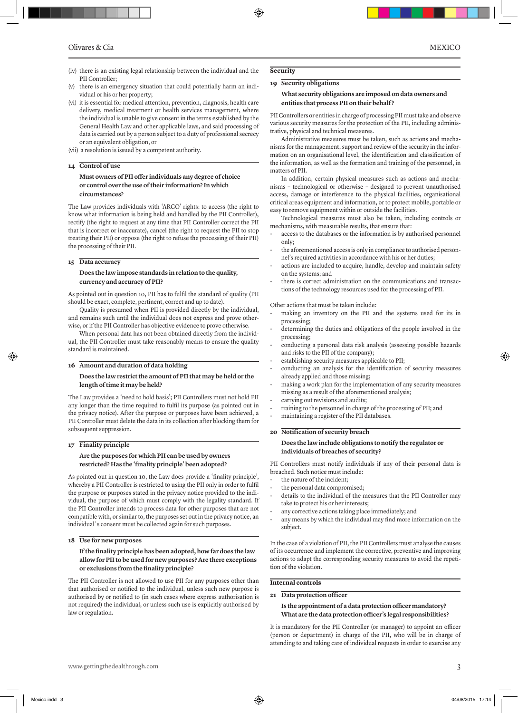- (iv) there is an existing legal relationship between the individual and the PII Controller;
- (v) there is an emergency situation that could potentially harm an individual or his or her property;
- (vi) it is essential for medical attention, prevention, diagnosis, health care delivery, medical treatment or health services management, where the individual is unable to give consent in the terms established by the General Health Law and other applicable laws, and said processing of data is carried out by a person subject to a duty of professional secrecy or an equivalent obligation, or
- (vii) a resolution is issued by a competent authority.

#### **14 Control of use**

# **Must owners of PII offer individuals any degree of choice or control over the use of their information? In which circumstances?**

The Law provides individuals with 'ARCO' rights: to access (the right to know what information is being held and handled by the PII Controller), rectify (the right to request at any time that PII Controller correct the PII that is incorrect or inaccurate), cancel (the right to request the PII to stop treating their PII) or oppose (the right to refuse the processing of their PII) the processing of their PII.

#### **15 Data accuracy**

#### **Does the law impose standards in relation to the quality, currency and accuracy of PII?**

As pointed out in question 10, PII has to fulfil the standard of quality (PII should be exact, complete, pertinent, correct and up to date).

Quality is presumed when PII is provided directly by the individual, and remains such until the individual does not express and prove otherwise, or if the PII Controller has objective evidence to prove otherwise.

When personal data has not been obtained directly from the individual, the PII Controller must take reasonably means to ensure the quality standard is maintained.

#### **16 Amount and duration of data holding**

#### **Does the law restrict the amount of PII that may be held or the length of time it may be held?**

The Law provides a 'need to hold basis'; PII Controllers must not hold PII any longer than the time required to fulfil its purpose (as pointed out in the privacy notice). After the purpose or purposes have been achieved, a PII Controller must delete the data in its collection after blocking them for subsequent suppression.

# **17 Finality principle**

# **Are the purposes for which PII can be used by owners restricted? Has the 'finality principle' been adopted?**

As pointed out in question 10, the Law does provide a 'finality principle', whereby a PII Controller is restricted to using the PII only in order to fulfil the purpose or purposes stated in the privacy notice provided to the individual, the purpose of which must comply with the legality standard. If the PII Controller intends to process data for other purposes that are not compatible with, or similar to, the purposes set out in the privacy notice, an individual´s consent must be collected again for such purposes.

#### **18 Use for new purposes**

#### **If the finality principle has been adopted, how far does the law allow for PII to be used for new purposes? Are there exceptions or exclusions from the finality principle?**

The PII Controller is not allowed to use PII for any purposes other than that authorised or notified to the individual, unless such new purpose is authorised by or notified to (in such cases where express authorisation is not required) the individual, or unless such use is explicitly authorised by law or regulation.

# **19 Security obligations**

**Security** 

⊕

#### **What security obligations are imposed on data owners and entities that process PII on their behalf?**

PII Controllers or entities in charge of processing PII must take and observe various security measures for the protection of the PII, including administrative, physical and technical measures.

Administrative measures must be taken, such as actions and mechanisms for the management, support and review of the security in the information on an organisational level, the identification and classification of the information, as well as the formation and training of the personnel, in matters of PII.

In addition, certain physical measures such as actions and mechanisms – technological or otherwise – designed to prevent unauthorised access, damage or interference to the physical facilities, organisational critical areas equipment and information, or to protect mobile, portable or easy to remove equipment within or outside the facilities.

Technological measures must also be taken, including controls or mechanisms, with measurable results, that ensure that:

- access to the databases or the information is by authorised personnel only;
- the aforementioned access is only in compliance to authorised personnel's required activities in accordance with his or her duties;
- actions are included to acquire, handle, develop and maintain safety on the systems; and
- there is correct administration on the communications and transactions of the technology resources used for the processing of PII.

Other actions that must be taken include:

- making an inventory on the PII and the systems used for its in processing;
- determining the duties and obligations of the people involved in the processing;
- conducting a personal data risk analysis (assessing possible hazards and risks to the PII of the company);
- establishing security measures applicable to PII;
- conducting an analysis for the identification of security measures already applied and those missing;
- making a work plan for the implementation of any security measures missing as a result of the aforementioned analysis;
- carrying out revisions and audits;
- training to the personnel in charge of the processing of PII; and • maintaining a register of the PII databases.

#### **20 Notification of security breach**

#### **Does the law include obligations to notify the regulator or individuals of breaches of security?**

PII Controllers must notify individuals if any of their personal data is breached. Such notice must include:

- the nature of the incident;
- the personal data compromised;
- details to the individual of the measures that the PII Controller may take to protect his or her interests;
- any corrective actions taking place immediately; and
- any means by which the individual may find more information on the subject.

In the case of a violation of PII, the PII Controllers must analyse the causes of its occurrence and implement the corrective, preventive and improving actions to adapt the corresponding security measures to avoid the repetition of the violation.

#### **Internal controls**

**21 Data protection officer**

**Is the appointment of a data protection officer mandatory? What are the data protection officer's legal responsibilities?**

It is mandatory for the PII Controller (or manager) to appoint an officer (person or department) in charge of the PII, who will be in charge of attending to and taking care of individual requests in order to exercise any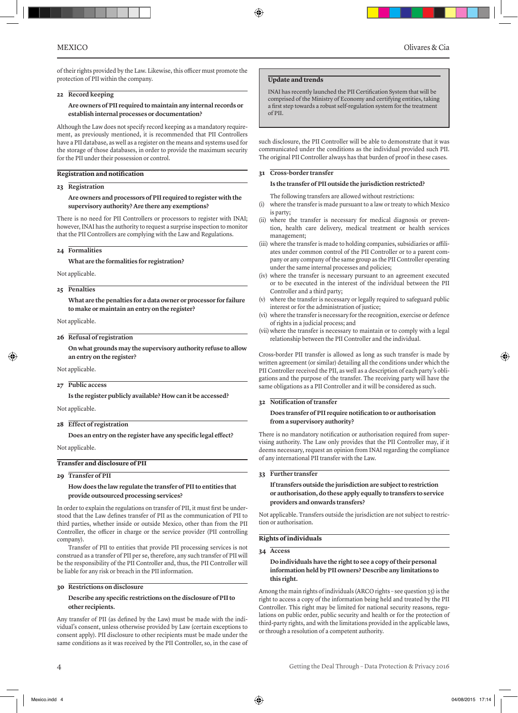⊕

of their rights provided by the Law. Likewise, this officer must promote the protection of PII within the company.

#### **22 Record keeping**

#### **Are owners of PII required to maintain any internal records or establish internal processes or documentation?**

Although the Law does not specify record keeping as a mandatory requirement, as previously mentioned, it is recommended that PII Controllers have a PII database, as well as a register on the means and systems used for the storage of those databases, in order to provide the maximum security for the PII under their possession or control.

#### **Registration and notification**

#### **23 Registration**

#### **Are owners and processors of PII required to register with the supervisory authority? Are there any exemptions?**

There is no need for PII Controllers or processors to register with INAI; however, INAI has the authority to request a surprise inspection to monitor that the PII Controllers are complying with the Law and Regulations.

**24 Formalities**

**What are the formalities for registration?**

Not applicable.

# **25 Penalties**

**What are the penalties for a data owner or processor for failure to make or maintain an entry on the register?**

Not applicable.

**26 Refusal of registration**

**On what grounds may the supervisory authority refuse to allow an entry on the register?** 

Not applicable.

#### **27 Public access**

**Is the register publicly available? How can it be accessed?**

Not applicable.

#### **28 Effect of registration**

**Does an entry on the register have any specific legal effect?**

Not applicable.

#### **Transfer and disclosure of PII**

#### **29 Transfer of PII**

#### **How does the law regulate the transfer of PII to entities that provide outsourced processing services?**

In order to explain the regulations on transfer of PII, it must first be understood that the Law defines transfer of PII as the communication of PII to third parties, whether inside or outside Mexico, other than from the PII Controller, the officer in charge or the service provider (PII controlling company).

Transfer of PII to entities that provide PII processing services is not construed as a transfer of PII per se, therefore, any such transfer of PII will be the responsibility of the PII Controller and, thus, the PII Controller will be liable for any risk or breach in the PII information.

#### **30 Restrictions on disclosure**

# **Describe any specific restrictions on the disclosure of PII to other recipients.**

Any transfer of PII (as defined by the Law) must be made with the individual's consent, unless otherwise provided by Law (certain exceptions to consent apply). PII disclosure to other recipients must be made under the same conditions as it was received by the PII Controller, so, in the case of

#### **Update and trends**

INAI has recently launched the PII Certification System that will be comprised of the Ministry of Economy and certifying entities, taking a first step towards a robust self-regulation system for the treatment of PII.

such disclosure, the PII Controller will be able to demonstrate that it was communicated under the conditions as the individual provided such PII. The original PII Controller always has that burden of proof in these cases.

## **31 Cross-border transfer**

**Is the transfer of PII outside the jurisdiction restricted?** 

The following transfers are allowed without restrictions:

- (i) where the transfer is made pursuant to a law or treaty to which Mexico is party;
- (ii) where the transfer is necessary for medical diagnosis or prevention, health care delivery, medical treatment or health services management;
- (iii) where the transfer is made to holding companies, subsidiaries or affiliates under common control of the PII Controller or to a parent company or any company of the same group as the PII Controller operating under the same internal processes and policies;
- (iv) where the transfer is necessary pursuant to an agreement executed or to be executed in the interest of the individual between the PII Controller and a third party;
- where the transfer is necessary or legally required to safeguard public interest or for the administration of justice;
- (vi) where the transfer is necessary for the recognition, exercise or defence of rights in a judicial process; and
- (vii) where the transfer is necessary to maintain or to comply with a legal relationship between the PII Controller and the individual.

Cross-border PII transfer is allowed as long as such transfer is made by written agreement (or similar) detailing all the conditions under which the PII Controller received the PII, as well as a description of each party's obligations and the purpose of the transfer. The receiving party will have the same obligations as a PII Controller and it will be considered as such.

# **32 Notification of transfer**

# **Does transfer of PII require notification to or authorisation from a supervisory authority?**

There is no mandatory notification or authorisation required from supervising authority. The Law only provides that the PII Controller may, if it deems necessary, request an opinion from INAI regarding the compliance of any international PII transfer with the Law.

# **33 Further transfer**

**If transfers outside the jurisdiction are subject to restriction or authorisation, do these apply equally to transfers to service providers and onwards transfers?** 

Not applicable. Transfers outside the jurisdiction are not subject to restriction or authorisation.

#### **Rights of individuals**

# **34 Access**

#### **Do individuals have the right to see a copy of their personal information held by PII owners? Describe any limitations to this right.**

Among the main rights of individuals (ARCO rights – see question 35) is the right to access a copy of the information being held and treated by the PII Controller. This right may be limited for national security reasons, regulations on public order, public security and health or for the protection of third-party rights, and with the limitations provided in the applicable laws, or through a resolution of a competent authority.